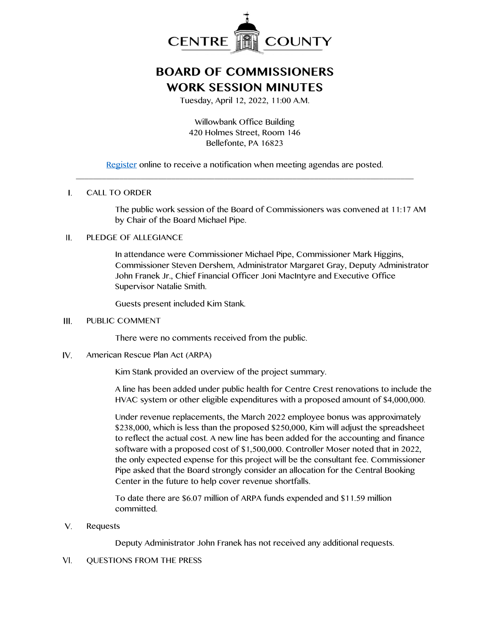

# **BOARD OF COMMISSIONERS WORK SESSION MINUTES**

Tuesday, April 12, 2022, 11:00 A.M.

Willowbank Office Building 420 Holmes Street, Room 146 Bellefonte, PA 16823

[Register](http://www.centrecountypa.gov/AgendaCenter) online to receive a notification when meeting agendas are posted. \_\_\_\_\_\_\_\_\_\_\_\_\_\_\_\_\_\_\_\_\_\_\_\_\_\_\_\_\_\_\_\_\_\_\_\_\_\_\_\_\_\_\_\_\_\_\_\_\_\_\_\_\_\_\_\_\_\_\_\_\_\_\_\_\_\_\_\_\_\_\_\_\_\_\_\_\_\_

#### $\mathbf{L}$ CALL TO ORDER

The public work session of the Board of Commissioners was convened at 11:17 AM by Chair of the Board Michael Pipe.

### PLEDGE OF ALLEGIANCE  $II.$

In attendance were Commissioner Michael Pipe, Commissioner Mark Higgins, Commissioner Steven Dershem, Administrator Margaret Gray, Deputy Administrator John Franek Jr., Chief Financial Officer Joni MacIntyre and Executive Office Supervisor Natalie Smith.

Guests present included Kim Stank.

#### $III.$ PUBLIC COMMENT

There were no comments received from the public.

IV. American Rescue Plan Act (ARPA)

Kim Stank provided an overview of the project summary.

A line has been added under public health for Centre Crest renovations to include the HVAC system or other eligible expenditures with a proposed amount of \$4,000,000.

Under revenue replacements, the March 2022 employee bonus was approximately \$238,000, which is less than the proposed \$250,000, Kim will adjust the spreadsheet to reflect the actual cost. A new line has been added for the accounting and finance software with a proposed cost of \$1,500,000. Controller Moser noted that in 2022, the only expected expense for this project will be the consultant fee. Commissioner Pipe asked that the Board strongly consider an allocation for the Central Booking Center in the future to help cover revenue shortfalls.

To date there are \$6.07 million of ARPA funds expended and \$11.59 million committed.

 $V_{1}$ Requests

Deputy Administrator John Franek has not received any additional requests.

#### $VI.$ QUESTIONS FROM THE PRESS